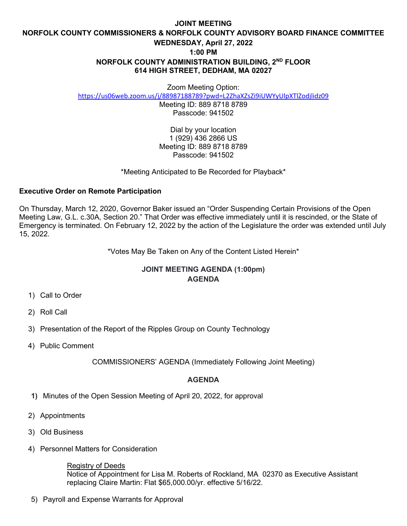## **JOINT MEETING NORFOLK COUNTY COMMISSIONERS & NORFOLK COUNTY ADVISORY BOARD FINANCE COMMITTEE WEDNESDAY, April 27, 2022 1:00 PM NORFOLK COUNTY ADMINISTRATION BUILDING, 2ND FLOOR 614 HIGH STREET, DEDHAM, MA 02027**

Zoom Meeting Option:

<https://us06web.zoom.us/j/88987188789?pwd=L2ZhaXZsZi9iUWYyUlpXTlZodjlidz09>

Meeting ID: 889 8718 8789 Passcode: 941502

Dial by your location 1 (929) 436 2866 US Meeting ID: 889 8718 8789 Passcode: 941502

\*Meeting Anticipated to Be Recorded for Playback\*

## **Executive Order on Remote Participation**

On Thursday, March 12, 2020, Governor Baker issued an "Order Suspending Certain Provisions of the Open Meeting Law, G.L. c.30A, Section 20." That Order was effective immediately until it is rescinded, or the State of Emergency is terminated. On February 12, 2022 by the action of the Legislature the order was extended until July 15, 2022.

\*Votes May Be Taken on Any of the Content Listed Herein\*

## **JOINT MEETING AGENDA (1:00pm) AGENDA**

- 1) Call to Order
- 2) Roll Call
- 3) Presentation of the Report of the Ripples Group on County Technology
- 4) Public Comment

COMMISSIONERS' AGENDA (Immediately Following Joint Meeting)

## **AGENDA**

- **1)** Minutes of the Open Session Meeting of April 20, 2022, for approval
- 2) Appointments
- 3) Old Business
- 4) Personnel Matters for Consideration

Registry of Deeds

Notice of Appointment for Lisa M. Roberts of Rockland, MA 02370 as Executive Assistant replacing Claire Martin: Flat \$65,000.00/yr. effective 5/16/22.

5) Payroll and Expense Warrants for Approval